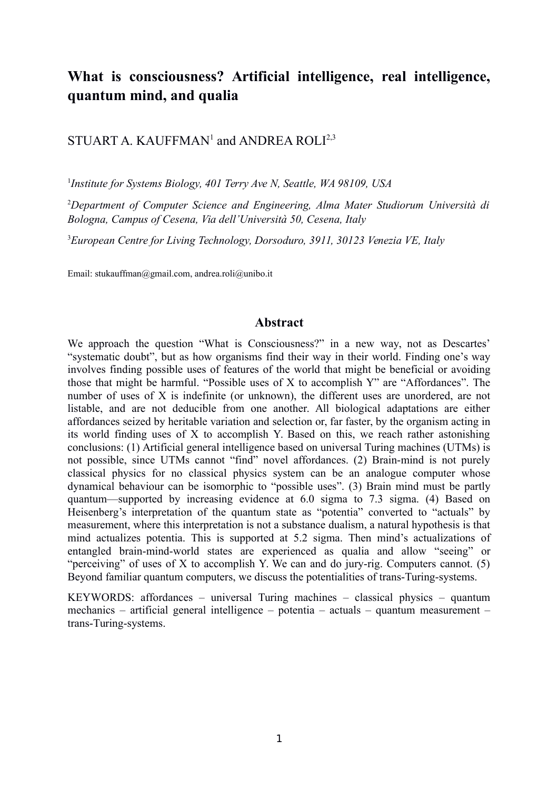# **What is consciousness? Artificial intelligence, real intelligence, quantum mind, and qualia**

STUART A. KAUFFMAN<sup>1</sup> and ANDREA ROLI<sup>2,3</sup>

1 *Institute for Systems Biology, 401 Terry Ave N, Seattle, WA 98109, USA*

<sup>2</sup>*Department of Computer Science and Engineering, Alma Mater Studiorum Università di Bologna, Campus of Cesena, Via dell'Università 50, Cesena, Italy*

<sup>3</sup>*European Centre for Living Technology, Dorsoduro, 3911, 30123 Venezia VE, Italy*

Email: stukauffman@gmail.com, andrea.roli@unibo.it

#### **Abstract**

We approach the question "What is Consciousness?" in a new way, not as Descartes' "systematic doubt", but as how organisms find their way in their world. Finding one's way involves finding possible uses of features of the world that might be beneficial or avoiding those that might be harmful. "Possible uses of X to accomplish Y" are "Affordances". The number of uses of X is indefinite (or unknown), the different uses are unordered, are not listable, and are not deducible from one another. All biological adaptations are either affordances seized by heritable variation and selection or, far faster, by the organism acting in its world finding uses of X to accomplish Y. Based on this, we reach rather astonishing conclusions: (1) Artificial general intelligence based on universal Turing machines (UTMs) is not possible, since UTMs cannot "find" novel affordances. (2) Brain-mind is not purely classical physics for no classical physics system can be an analogue computer whose dynamical behaviour can be isomorphic to "possible uses". (3) Brain mind must be partly quantum—supported by increasing evidence at 6.0 sigma to 7.3 sigma. (4) Based on Heisenberg's interpretation of the quantum state as "potentia" converted to "actuals" by measurement, where this interpretation is not a substance dualism, a natural hypothesis is that mind actualizes potentia. This is supported at 5.2 sigma. Then mind's actualizations of entangled brain-mind-world states are experienced as qualia and allow "seeing" or "perceiving" of uses of X to accomplish Y. We can and do jury-rig. Computers cannot. (5) Beyond familiar quantum computers, we discuss the potentialities of trans-Turing-systems.

KEYWORDS: affordances – universal Turing machines – classical physics – quantum mechanics – artificial general intelligence – potentia – actuals – quantum measurement – trans-Turing-systems.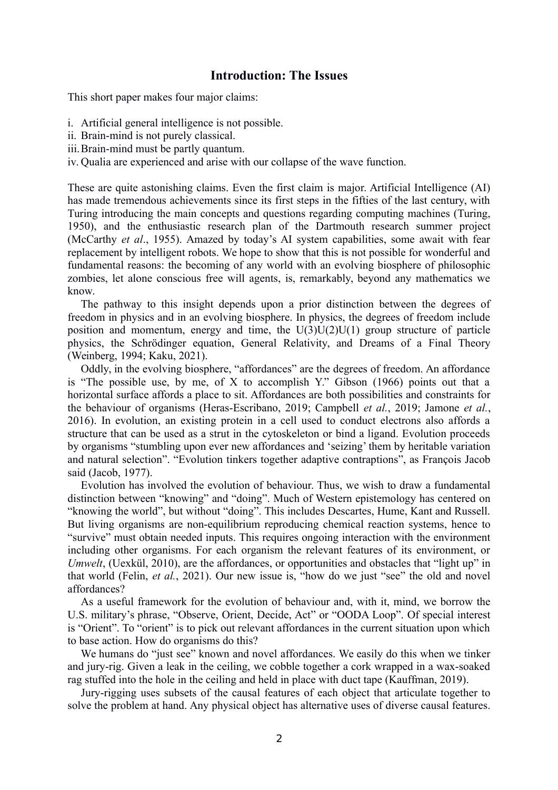### **Introduction: The Issues**

This short paper makes four major claims:

- i. Artificial general intelligence is not possible.
- ii. Brain-mind is not purely classical.
- iii.Brain-mind must be partly quantum.
- iv. Qualia are experienced and arise with our collapse of the wave function.

These are quite astonishing claims. Even the first claim is major. Artificial Intelligence (AI) has made tremendous achievements since its first steps in the fifties of the last century, with Turing introducing the main concepts and questions regarding computing machines (Turing, 1950), and the enthusiastic research plan of the Dartmouth research summer project (McCarthy *et al*., 1955). Amazed by today's AI system capabilities, some await with fear replacement by intelligent robots. We hope to show that this is not possible for wonderful and fundamental reasons: the becoming of any world with an evolving biosphere of philosophic zombies, let alone conscious free will agents, is, remarkably, beyond any mathematics we know.

The pathway to this insight depends upon a prior distinction between the degrees of freedom in physics and in an evolving biosphere. In physics, the degrees of freedom include position and momentum, energy and time, the  $U(3)U(2)U(1)$  group structure of particle physics, the Schrödinger equation, General Relativity, and Dreams of a Final Theory (Weinberg, 1994; Kaku, 2021).

Oddly, in the evolving biosphere, "affordances" are the degrees of freedom. An affordance is "The possible use, by me, of X to accomplish Y." Gibson (1966) points out that a horizontal surface affords a place to sit. Affordances are both possibilities and constraints for the behaviour of organisms (Heras-Escribano, 2019; Campbell *et al.*, 2019; Jamone *et al.*, 2016). In evolution, an existing protein in a cell used to conduct electrons also affords a structure that can be used as a strut in the cytoskeleton or bind a ligand. Evolution proceeds by organisms "stumbling upon ever new affordances and 'seizing' them by heritable variation and natural selection". "Evolution tinkers together adaptive contraptions", as François Jacob said (Jacob, 1977).

Evolution has involved the evolution of behaviour. Thus, we wish to draw a fundamental distinction between "knowing" and "doing". Much of Western epistemology has centered on "knowing the world", but without "doing". This includes Descartes, Hume, Kant and Russell. But living organisms are non-equilibrium reproducing chemical reaction systems, hence to "survive" must obtain needed inputs. This requires ongoing interaction with the environment including other organisms. For each organism the relevant features of its environment, or *Umwelt*, (Uexkül, 2010), are the affordances, or opportunities and obstacles that "light up" in that world (Felin, *et al.*, 2021). Our new issue is, "how do we just "see" the old and novel affordances?

As a useful framework for the evolution of behaviour and, with it, mind, we borrow the U.S. military's phrase, "Observe, Orient, Decide, Act" or "OODA Loop". Of special interest is "Orient". To "orient" is to pick out relevant affordances in the current situation upon which to base action. How do organisms do this?

We humans do "just see" known and novel affordances. We easily do this when we tinker and jury-rig. Given a leak in the ceiling, we cobble together a cork wrapped in a wax-soaked rag stuffed into the hole in the ceiling and held in place with duct tape (Kauffman, 2019).

Jury-rigging uses subsets of the causal features of each object that articulate together to solve the problem at hand. Any physical object has alternative uses of diverse causal features.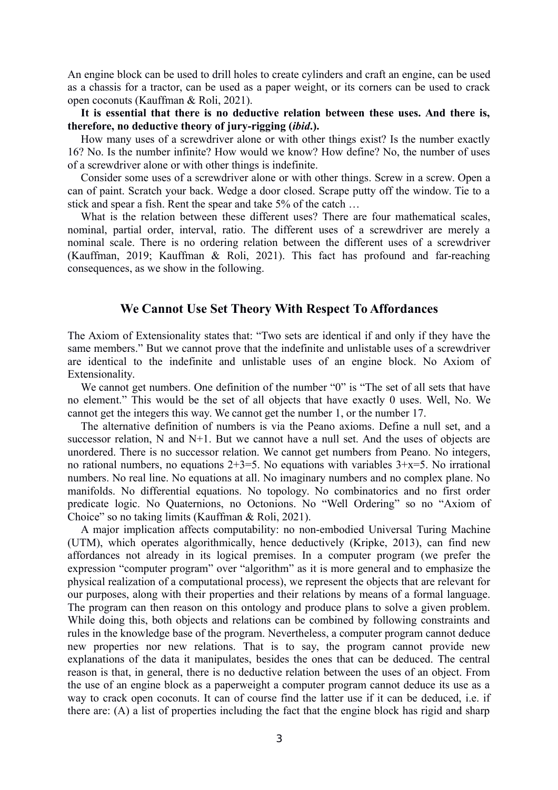An engine block can be used to drill holes to create cylinders and craft an engine, can be used as a chassis for a tractor, can be used as a paper weight, or its corners can be used to crack open coconuts (Kauffman & Roli, 2021).

**It is essential that there is no deductive relation between these uses. And there is, therefore, no deductive theory of jury-rigging (***ibid***.).**

How many uses of a screwdriver alone or with other things exist? Is the number exactly 16? No. Is the number infinite? How would we know? How define? No, the number of uses of a screwdriver alone or with other things is indefinite.

Consider some uses of a screwdriver alone or with other things. Screw in a screw. Open a can of paint. Scratch your back. Wedge a door closed. Scrape putty off the window. Tie to a stick and spear a fish. Rent the spear and take 5% of the catch …

What is the relation between these different uses? There are four mathematical scales, nominal, partial order, interval, ratio. The different uses of a screwdriver are merely a nominal scale. There is no ordering relation between the different uses of a screwdriver (Kauffman, 2019; Kauffman & Roli, 2021). This fact has profound and far-reaching consequences, as we show in the following.

#### **We Cannot Use Set Theory With Respect To Affordances**

The Axiom of Extensionality states that: "Two sets are identical if and only if they have the same members." But we cannot prove that the indefinite and unlistable uses of a screwdriver are identical to the indefinite and unlistable uses of an engine block. No Axiom of Extensionality.

We cannot get numbers. One definition of the number "0" is "The set of all sets that have no element." This would be the set of all objects that have exactly 0 uses. Well, No. We cannot get the integers this way. We cannot get the number 1, or the number 17.

The alternative definition of numbers is via the Peano axioms. Define a null set, and a successor relation, N and N+1. But we cannot have a null set. And the uses of objects are unordered. There is no successor relation. We cannot get numbers from Peano. No integers, no rational numbers, no equations  $2+3=5$ . No equations with variables  $3+x=5$ . No irrational numbers. No real line. No equations at all. No imaginary numbers and no complex plane. No manifolds. No differential equations. No topology. No combinatorics and no first order predicate logic. No Quaternions, no Octonions. No "Well Ordering" so no "Axiom of Choice" so no taking limits (Kauffman & Roli, 2021).

A major implication affects computability: no non-embodied Universal Turing Machine (UTM), which operates algorithmically, hence deductively (Kripke, 2013), can find new affordances not already in its logical premises. In a computer program (we prefer the expression "computer program" over "algorithm" as it is more general and to emphasize the physical realization of a computational process), we represent the objects that are relevant for our purposes, along with their properties and their relations by means of a formal language. The program can then reason on this ontology and produce plans to solve a given problem. While doing this, both objects and relations can be combined by following constraints and rules in the knowledge base of the program. Nevertheless, a computer program cannot deduce new properties nor new relations. That is to say, the program cannot provide new explanations of the data it manipulates, besides the ones that can be deduced. The central reason is that, in general, there is no deductive relation between the uses of an object. From the use of an engine block as a paperweight a computer program cannot deduce its use as a way to crack open coconuts. It can of course find the latter use if it can be deduced, i.e. if there are: (A) a list of properties including the fact that the engine block has rigid and sharp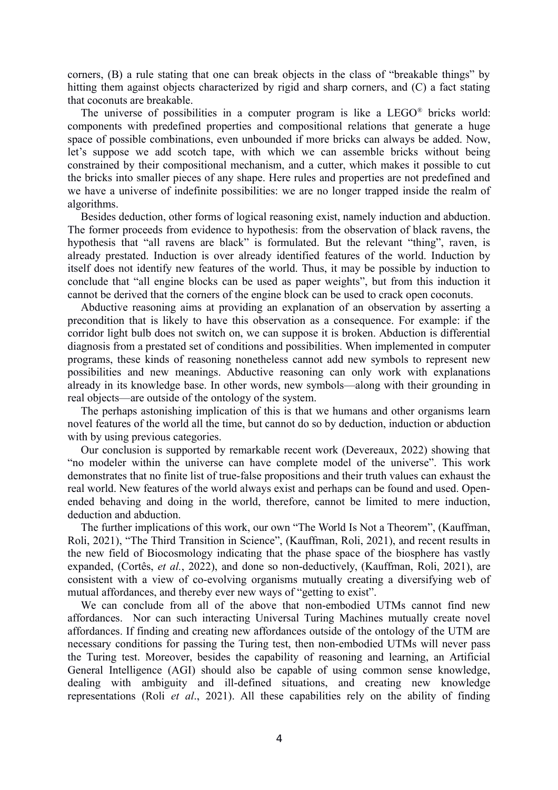corners, (B) a rule stating that one can break objects in the class of "breakable things" by hitting them against objects characterized by rigid and sharp corners, and (C) a fact stating that coconuts are breakable.

The universe of possibilities in a computer program is like a  $LEGO^{\otimes}$  bricks world: components with predefined properties and compositional relations that generate a huge space of possible combinations, even unbounded if more bricks can always be added. Now, let's suppose we add scotch tape, with which we can assemble bricks without being constrained by their compositional mechanism, and a cutter, which makes it possible to cut the bricks into smaller pieces of any shape. Here rules and properties are not predefined and we have a universe of indefinite possibilities: we are no longer trapped inside the realm of algorithms.

Besides deduction, other forms of logical reasoning exist, namely induction and abduction. The former proceeds from evidence to hypothesis: from the observation of black ravens, the hypothesis that "all ravens are black" is formulated. But the relevant "thing", raven, is already prestated. Induction is over already identified features of the world. Induction by itself does not identify new features of the world. Thus, it may be possible by induction to conclude that "all engine blocks can be used as paper weights", but from this induction it cannot be derived that the corners of the engine block can be used to crack open coconuts.

Abductive reasoning aims at providing an explanation of an observation by asserting a precondition that is likely to have this observation as a consequence. For example: if the corridor light bulb does not switch on, we can suppose it is broken. Abduction is differential diagnosis from a prestated set of conditions and possibilities. When implemented in computer programs, these kinds of reasoning nonetheless cannot add new symbols to represent new possibilities and new meanings. Abductive reasoning can only work with explanations already in its knowledge base. In other words, new symbols—along with their grounding in real objects—are outside of the ontology of the system.

The perhaps astonishing implication of this is that we humans and other organisms learn novel features of the world all the time, but cannot do so by deduction, induction or abduction with by using previous categories.

Our conclusion is supported by remarkable recent work (Devereaux, 2022) showing that "no modeler within the universe can have complete model of the universe". This work demonstrates that no finite list of true-false propositions and their truth values can exhaust the real world. New features of the world always exist and perhaps can be found and used. Openended behaving and doing in the world, therefore, cannot be limited to mere induction, deduction and abduction.

The further implications of this work, our own "The World Is Not a Theorem", (Kauffman, Roli, 2021), "The Third Transition in Science", (Kauffman, Roli, 2021), and recent results in the new field of Biocosmology indicating that the phase space of the biosphere has vastly expanded, (Cortês, *et al.*, 2022), and done so non-deductively, (Kauffman, Roli, 2021), are consistent with a view of co-evolving organisms mutually creating a diversifying web of mutual affordances, and thereby ever new ways of "getting to exist".

We can conclude from all of the above that non-embodied UTMs cannot find new affordances. Nor can such interacting Universal Turing Machines mutually create novel affordances. If finding and creating new affordances outside of the ontology of the UTM are necessary conditions for passing the Turing test, then non-embodied UTMs will never pass the Turing test. Moreover, besides the capability of reasoning and learning, an Artificial General Intelligence (AGI) should also be capable of using common sense knowledge, dealing with ambiguity and ill-defined situations, and creating new knowledge representations (Roli *et al*., 2021). All these capabilities rely on the ability of finding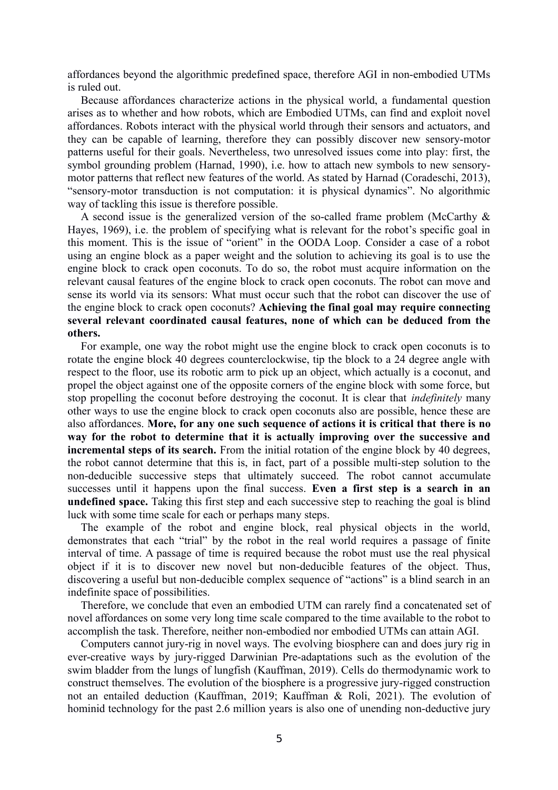affordances beyond the algorithmic predefined space, therefore AGI in non-embodied UTMs is ruled out.

Because affordances characterize actions in the physical world, a fundamental question arises as to whether and how robots, which are Embodied UTMs, can find and exploit novel affordances. Robots interact with the physical world through their sensors and actuators, and they can be capable of learning, therefore they can possibly discover new sensory-motor patterns useful for their goals. Nevertheless, two unresolved issues come into play: first, the symbol grounding problem (Harnad, 1990), i.e. how to attach new symbols to new sensorymotor patterns that reflect new features of the world. As stated by Harnad (Coradeschi, 2013), "sensory-motor transduction is not computation: it is physical dynamics". No algorithmic way of tackling this issue is therefore possible.

A second issue is the generalized version of the so-called frame problem (McCarthy & Hayes, 1969), i.e. the problem of specifying what is relevant for the robot's specific goal in this moment. This is the issue of "orient" in the OODA Loop. Consider a case of a robot using an engine block as a paper weight and the solution to achieving its goal is to use the engine block to crack open coconuts. To do so, the robot must acquire information on the relevant causal features of the engine block to crack open coconuts. The robot can move and sense its world via its sensors: What must occur such that the robot can discover the use of the engine block to crack open coconuts? **Achieving the final goal may require connecting several relevant coordinated causal features, none of which can be deduced from the others.**

For example, one way the robot might use the engine block to crack open coconuts is to rotate the engine block 40 degrees counterclockwise, tip the block to a 24 degree angle with respect to the floor, use its robotic arm to pick up an object, which actually is a coconut, and propel the object against one of the opposite corners of the engine block with some force, but stop propelling the coconut before destroying the coconut. It is clear that *indefinitely* many other ways to use the engine block to crack open coconuts also are possible, hence these are also affordances. **More, for any one such sequence of actions it is critical that there is no way for the robot to determine that it is actually improving over the successive and incremental steps of its search.** From the initial rotation of the engine block by 40 degrees, the robot cannot determine that this is, in fact, part of a possible multi-step solution to the non-deducible successive steps that ultimately succeed. The robot cannot accumulate successes until it happens upon the final success. **Even a first step is a search in an undefined space.** Taking this first step and each successive step to reaching the goal is blind luck with some time scale for each or perhaps many steps.

The example of the robot and engine block, real physical objects in the world, demonstrates that each "trial" by the robot in the real world requires a passage of finite interval of time. A passage of time is required because the robot must use the real physical object if it is to discover new novel but non-deducible features of the object. Thus, discovering a useful but non-deducible complex sequence of "actions" is a blind search in an indefinite space of possibilities.

Therefore, we conclude that even an embodied UTM can rarely find a concatenated set of novel affordances on some very long time scale compared to the time available to the robot to accomplish the task. Therefore, neither non-embodied nor embodied UTMs can attain AGI.

Computers cannot jury-rig in novel ways. The evolving biosphere can and does jury rig in ever-creative ways by jury-rigged Darwinian Pre-adaptations such as the evolution of the swim bladder from the lungs of lungfish (Kauffman, 2019). Cells do thermodynamic work to construct themselves. The evolution of the biosphere is a progressive jury-rigged construction not an entailed deduction (Kauffman, 2019; Kauffman & Roli, 2021). The evolution of hominid technology for the past 2.6 million years is also one of unending non-deductive jury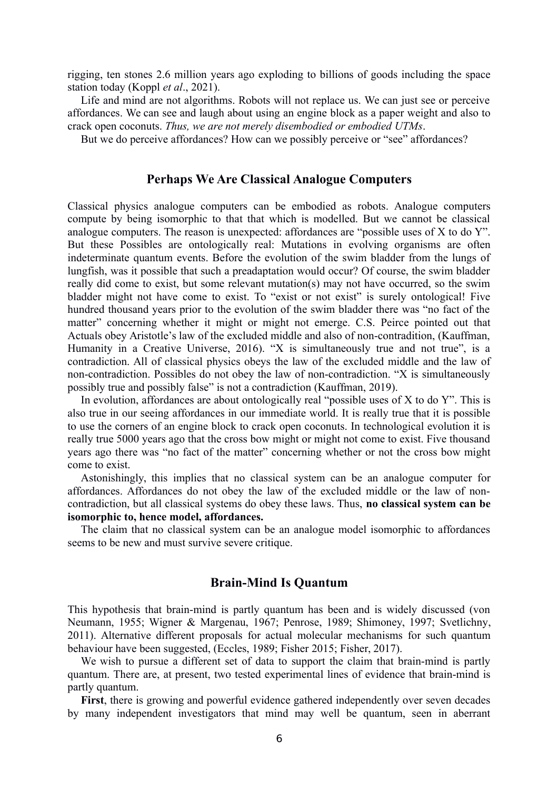rigging, ten stones 2.6 million years ago exploding to billions of goods including the space station today (Koppl *et al*., 2021).

Life and mind are not algorithms. Robots will not replace us. We can just see or perceive affordances. We can see and laugh about using an engine block as a paper weight and also to crack open coconuts. *Thus, we are not merely disembodied or embodied UTMs*.

But we do perceive affordances? How can we possibly perceive or "see" affordances?

## **Perhaps We Are Classical Analogue Computers**

Classical physics analogue computers can be embodied as robots. Analogue computers compute by being isomorphic to that that which is modelled. But we cannot be classical analogue computers. The reason is unexpected: affordances are "possible uses of X to do Y". But these Possibles are ontologically real: Mutations in evolving organisms are often indeterminate quantum events. Before the evolution of the swim bladder from the lungs of lungfish, was it possible that such a preadaptation would occur? Of course, the swim bladder really did come to exist, but some relevant mutation(s) may not have occurred, so the swim bladder might not have come to exist. To "exist or not exist" is surely ontological! Five hundred thousand years prior to the evolution of the swim bladder there was "no fact of the matter" concerning whether it might or might not emerge. C.S. Peirce pointed out that Actuals obey Aristotle's law of the excluded middle and also of non-contradition, (Kauffman, Humanity in a Creative Universe, 2016). "X is simultaneously true and not true", is a contradiction. All of classical physics obeys the law of the excluded middle and the law of non-contradiction. Possibles do not obey the law of non-contradiction. "X is simultaneously possibly true and possibly false" is not a contradiction (Kauffman, 2019).

In evolution, affordances are about ontologically real "possible uses of  $X$  to do  $Y$ ". This is also true in our seeing affordances in our immediate world. It is really true that it is possible to use the corners of an engine block to crack open coconuts. In technological evolution it is really true 5000 years ago that the cross bow might or might not come to exist. Five thousand years ago there was "no fact of the matter" concerning whether or not the cross bow might come to exist.

Astonishingly, this implies that no classical system can be an analogue computer for affordances. Affordances do not obey the law of the excluded middle or the law of noncontradiction, but all classical systems do obey these laws. Thus, **no classical system can be isomorphic to, hence model, affordances.** 

The claim that no classical system can be an analogue model isomorphic to affordances seems to be new and must survive severe critique.

## **Brain-Mind Is Quantum**

This hypothesis that brain-mind is partly quantum has been and is widely discussed (von Neumann, 1955; Wigner & Margenau, 1967; Penrose, 1989; Shimoney, 1997; Svetlichny, 2011). Alternative different proposals for actual molecular mechanisms for such quantum behaviour have been suggested, (Eccles, 1989; Fisher 2015; Fisher, 2017).

We wish to pursue a different set of data to support the claim that brain-mind is partly quantum. There are, at present, two tested experimental lines of evidence that brain-mind is partly quantum.

**First**, there is growing and powerful evidence gathered independently over seven decades by many independent investigators that mind may well be quantum, seen in aberrant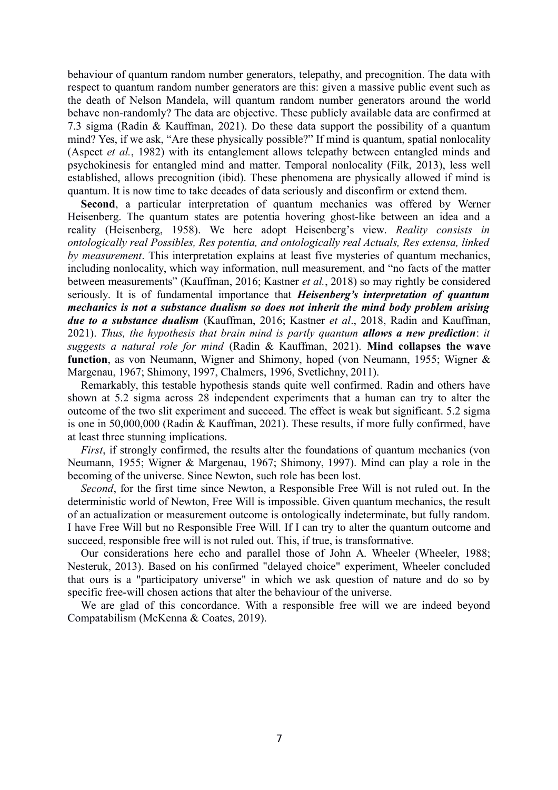behaviour of quantum random number generators, telepathy, and precognition. The data with respect to quantum random number generators are this: given a massive public event such as the death of Nelson Mandela, will quantum random number generators around the world behave non-randomly? The data are objective. These publicly available data are confirmed at 7.3 sigma (Radin & Kauffman, 2021). Do these data support the possibility of a quantum mind? Yes, if we ask, "Are these physically possible?" If mind is quantum, spatial nonlocality (Aspect *et al.*, 1982) with its entanglement allows telepathy between entangled minds and psychokinesis for entangled mind and matter. Temporal nonlocality (Filk, 2013), less well established, allows precognition (ibid). These phenomena are physically allowed if mind is quantum. It is now time to take decades of data seriously and disconfirm or extend them.

**Second**, a particular interpretation of quantum mechanics was offered by Werner Heisenberg. The quantum states are potentia hovering ghost-like between an idea and a reality (Heisenberg, 1958). We here adopt Heisenberg's view. *Reality consists in ontologically real Possibles, Res potentia, and ontologically real Actuals, Res extensa, linked by measurement*. This interpretation explains at least five mysteries of quantum mechanics, including nonlocality, which way information, null measurement, and "no facts of the matter between measurements" (Kauffman, 2016; Kastner *et al.*, 2018) so may rightly be considered seriously. It is of fundamental importance that *Heisenberg's interpretation of quantum mechanics is not a substance dualism so does not inherit the mind body problem arising due to a substance dualism* (Kauffman, 2016; Kastner *et al*., 2018, Radin and Kauffman, 2021). *Thus, the hypothesis that brain mind is partly quantum allows a new prediction*: *it suggests a natural role for mind* (Radin & Kauffman, 2021). **Mind collapses the wave function**, as von Neumann, Wigner and Shimony, hoped (von Neumann, 1955; Wigner & Margenau, 1967; Shimony, 1997, Chalmers, 1996, Svetlichny, 2011).

Remarkably, this testable hypothesis stands quite well confirmed. Radin and others have shown at 5.2 sigma across 28 independent experiments that a human can try to alter the outcome of the two slit experiment and succeed. The effect is weak but significant. 5.2 sigma is one in 50,000,000 (Radin & Kauffman, 2021). These results, if more fully confirmed, have at least three stunning implications.

*First*, if strongly confirmed, the results alter the foundations of quantum mechanics (von Neumann, 1955; Wigner & Margenau, 1967; Shimony, 1997). Mind can play a role in the becoming of the universe. Since Newton, such role has been lost.

*Second*, for the first time since Newton, a Responsible Free Will is not ruled out. In the deterministic world of Newton, Free Will is impossible. Given quantum mechanics, the result of an actualization or measurement outcome is ontologically indeterminate, but fully random. I have Free Will but no Responsible Free Will. If I can try to alter the quantum outcome and succeed, responsible free will is not ruled out. This, if true, is transformative.

Our considerations here echo and parallel those of John A. Wheeler (Wheeler, 1988; Nesteruk, 2013). Based on his confirmed "delayed choice" experiment, Wheeler concluded that ours is a "participatory universe" in which we ask question of nature and do so by specific free-will chosen actions that alter the behaviour of the universe.

We are glad of this concordance. With a responsible free will we are indeed beyond Compatabilism (McKenna & Coates, 2019).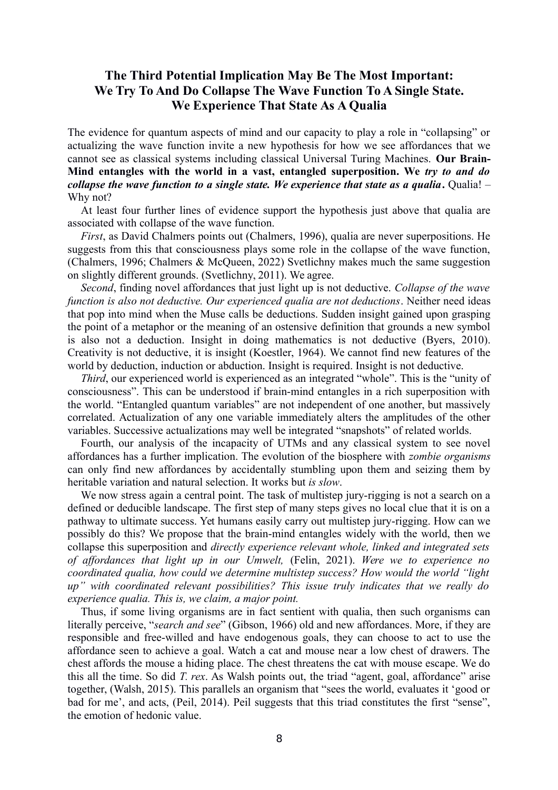## **The Third Potential Implication May Be The Most Important: We Try To And Do Collapse The Wave Function To A Single State. We Experience That State As A Qualia**

The evidence for quantum aspects of mind and our capacity to play a role in "collapsing" or actualizing the wave function invite a new hypothesis for how we see affordances that we cannot see as classical systems including classical Universal Turing Machines. **Our Brain-Mind entangles with the world in a vast, entangled superposition. We** *try to and do collapse the wave function to a single state. We experience that state as a qualia***.** Qualia! – Why not?

At least four further lines of evidence support the hypothesis just above that qualia are associated with collapse of the wave function.

*First*, as David Chalmers points out (Chalmers, 1996), qualia are never superpositions. He suggests from this that consciousness plays some role in the collapse of the wave function, (Chalmers, 1996; Chalmers & McQueen, 2022) Svetlichny makes much the same suggestion on slightly different grounds. (Svetlichny, 2011). We agree.

*Second*, finding novel affordances that just light up is not deductive. *Collapse of the wave function is also not deductive. Our experienced qualia are not deductions*. Neither need ideas that pop into mind when the Muse calls be deductions. Sudden insight gained upon grasping the point of a metaphor or the meaning of an ostensive definition that grounds a new symbol is also not a deduction. Insight in doing mathematics is not deductive (Byers, 2010). Creativity is not deductive, it is insight (Koestler, 1964). We cannot find new features of the world by deduction, induction or abduction. Insight is required. Insight is not deductive.

*Third*, our experienced world is experienced as an integrated "whole". This is the "unity of consciousness". This can be understood if brain-mind entangles in a rich superposition with the world. "Entangled quantum variables" are not independent of one another, but massively correlated. Actualization of any one variable immediately alters the amplitudes of the other variables. Successive actualizations may well be integrated "snapshots" of related worlds.

Fourth, our analysis of the incapacity of UTMs and any classical system to see novel affordances has a further implication. The evolution of the biosphere with *zombie organisms* can only find new affordances by accidentally stumbling upon them and seizing them by heritable variation and natural selection. It works but *is slow*.

We now stress again a central point. The task of multistep jury-rigging is not a search on a defined or deducible landscape. The first step of many steps gives no local clue that it is on a pathway to ultimate success. Yet humans easily carry out multistep jury-rigging. How can we possibly do this? We propose that the brain-mind entangles widely with the world, then we collapse this superposition and *directly experience relevant whole, linked and integrated sets of affordances that light up in our Umwelt,* (Felin, 2021). *Were we to experience no coordinated qualia, how could we determine multistep success? How would the world "light up" with coordinated relevant possibilities? This issue truly indicates that we really do experience qualia. This is, we claim, a major point.*

Thus, if some living organisms are in fact sentient with qualia, then such organisms can literally perceive, "*search and see*" (Gibson, 1966) old and new affordances. More, if they are responsible and free-willed and have endogenous goals, they can choose to act to use the affordance seen to achieve a goal. Watch a cat and mouse near a low chest of drawers. The chest affords the mouse a hiding place. The chest threatens the cat with mouse escape. We do this all the time. So did *T. rex*. As Walsh points out, the triad "agent, goal, affordance" arise together, (Walsh, 2015). This parallels an organism that "sees the world, evaluates it 'good or bad for me', and acts, (Peil, 2014). Peil suggests that this triad constitutes the first "sense", the emotion of hedonic value.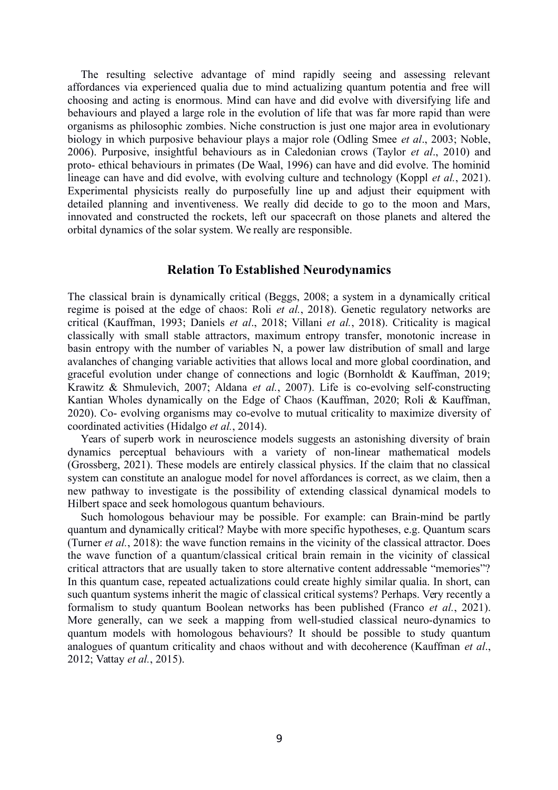The resulting selective advantage of mind rapidly seeing and assessing relevant affordances via experienced qualia due to mind actualizing quantum potentia and free will choosing and acting is enormous. Mind can have and did evolve with diversifying life and behaviours and played a large role in the evolution of life that was far more rapid than were organisms as philosophic zombies. Niche construction is just one major area in evolutionary biology in which purposive behaviour plays a major role (Odling Smee *et al*., 2003; Noble, 2006). Purposive, insightful behaviours as in Caledonian crows (Taylor *et al*., 2010) and proto- ethical behaviours in primates (De Waal, 1996) can have and did evolve. The hominid lineage can have and did evolve, with evolving culture and technology (Koppl *et al.*, 2021). Experimental physicists really do purposefully line up and adjust their equipment with detailed planning and inventiveness. We really did decide to go to the moon and Mars, innovated and constructed the rockets, left our spacecraft on those planets and altered the orbital dynamics of the solar system. We really are responsible.

#### **Relation To Established Neurodynamics**

The classical brain is dynamically critical (Beggs, 2008; a system in a dynamically critical regime is poised at the edge of chaos: Roli *et al.*, 2018). Genetic regulatory networks are critical (Kauffman, 1993; Daniels *et al*., 2018; Villani *et al.*, 2018). Criticality is magical classically with small stable attractors, maximum entropy transfer, monotonic increase in basin entropy with the number of variables N, a power law distribution of small and large avalanches of changing variable activities that allows local and more global coordination, and graceful evolution under change of connections and logic (Bornholdt & Kauffman, 2019; Krawitz & Shmulevich, 2007; Aldana *et al.*, 2007). Life is co-evolving self-constructing Kantian Wholes dynamically on the Edge of Chaos (Kauffman, 2020; Roli & Kauffman, 2020). Co- evolving organisms may co-evolve to mutual criticality to maximize diversity of coordinated activities (Hidalgo *et al.*, 2014).

Years of superb work in neuroscience models suggests an astonishing diversity of brain dynamics perceptual behaviours with a variety of non-linear mathematical models (Grossberg, 2021). These models are entirely classical physics. If the claim that no classical system can constitute an analogue model for novel affordances is correct, as we claim, then a new pathway to investigate is the possibility of extending classical dynamical models to Hilbert space and seek homologous quantum behaviours.

Such homologous behaviour may be possible. For example: can Brain-mind be partly quantum and dynamically critical? Maybe with more specific hypotheses, e.g. Quantum scars (Turner *et al.*, 2018): the wave function remains in the vicinity of the classical attractor. Does the wave function of a quantum/classical critical brain remain in the vicinity of classical critical attractors that are usually taken to store alternative content addressable "memories"? In this quantum case, repeated actualizations could create highly similar qualia. In short, can such quantum systems inherit the magic of classical critical systems? Perhaps. Very recently a formalism to study quantum Boolean networks has been published (Franco *et al.*, 2021). More generally, can we seek a mapping from well-studied classical neuro-dynamics to quantum models with homologous behaviours? It should be possible to study quantum analogues of quantum criticality and chaos without and with decoherence (Kauffman *et al*., 2012; Vattay *et al.*, 2015).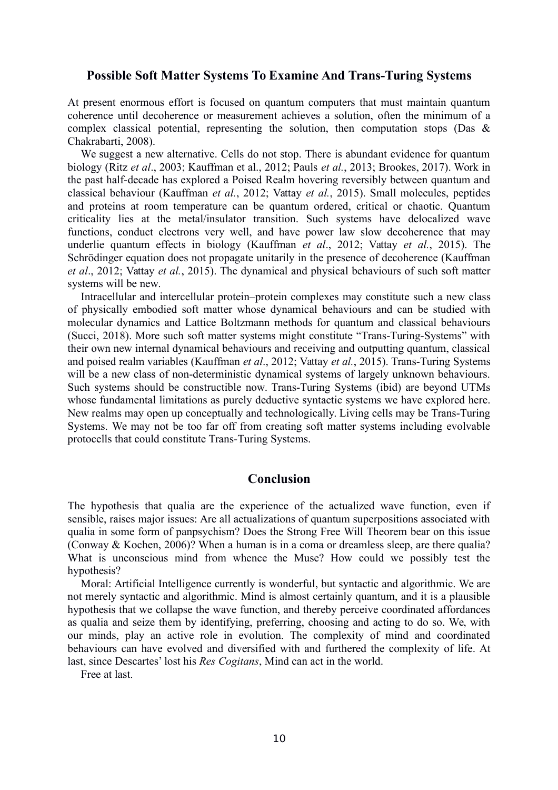#### **Possible Soft Matter Systems To Examine And Trans-Turing Systems**

At present enormous effort is focused on quantum computers that must maintain quantum coherence until decoherence or measurement achieves a solution, often the minimum of a complex classical potential, representing the solution, then computation stops (Das  $\&$ Chakrabarti, 2008).

We suggest a new alternative. Cells do not stop. There is abundant evidence for quantum biology (Ritz *et al*., 2003; Kauffman et al., 2012; Pauls *et al.*, 2013; Brookes, 2017). Work in the past half-decade has explored a Poised Realm hovering reversibly between quantum and classical behaviour (Kauffman *et al.*, 2012; Vattay *et al.*, 2015). Small molecules, peptides and proteins at room temperature can be quantum ordered, critical or chaotic. Quantum criticality lies at the metal/insulator transition. Such systems have delocalized wave functions, conduct electrons very well, and have power law slow decoherence that may underlie quantum effects in biology (Kauffman *et al*., 2012; Vattay *et al.*, 2015). The Schrödinger equation does not propagate unitarily in the presence of decoherence (Kauffman *et al*., 2012; Vattay *et al.*, 2015). The dynamical and physical behaviours of such soft matter systems will be new.

Intracellular and intercellular protein–protein complexes may constitute such a new class of physically embodied soft matter whose dynamical behaviours and can be studied with molecular dynamics and Lattice Boltzmann methods for quantum and classical behaviours (Succi, 2018). More such soft matter systems might constitute "Trans-Turing-Systems" with their own new internal dynamical behaviours and receiving and outputting quantum, classical and poised realm variables (Kauffman *et al*., 2012; Vattay *et al.*, 2015). Trans-Turing Systems will be a new class of non-deterministic dynamical systems of largely unknown behaviours. Such systems should be constructible now. Trans-Turing Systems (ibid) are beyond UTMs whose fundamental limitations as purely deductive syntactic systems we have explored here. New realms may open up conceptually and technologically. Living cells may be Trans-Turing Systems. We may not be too far off from creating soft matter systems including evolvable protocells that could constitute Trans-Turing Systems.

## **Conclusion**

The hypothesis that qualia are the experience of the actualized wave function, even if sensible, raises major issues: Are all actualizations of quantum superpositions associated with qualia in some form of panpsychism? Does the Strong Free Will Theorem bear on this issue (Conway & Kochen, 2006)? When a human is in a coma or dreamless sleep, are there qualia? What is unconscious mind from whence the Muse? How could we possibly test the hypothesis?

Moral: Artificial Intelligence currently is wonderful, but syntactic and algorithmic. We are not merely syntactic and algorithmic. Mind is almost certainly quantum, and it is a plausible hypothesis that we collapse the wave function, and thereby perceive coordinated affordances as qualia and seize them by identifying, preferring, choosing and acting to do so. We, with our minds, play an active role in evolution. The complexity of mind and coordinated behaviours can have evolved and diversified with and furthered the complexity of life. At last, since Descartes' lost his *Res Cogitans*, Mind can act in the world.

Free at last.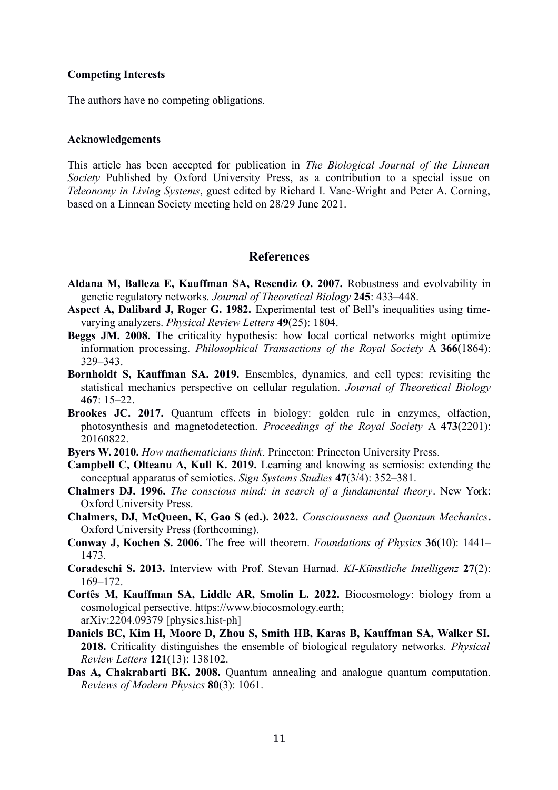#### **Competing Interests**

The authors have no competing obligations.

#### **Acknowledgements**

This article has been accepted for publication in *The Biological Journal of the Linnean Society* Published by Oxford University Press, as a contribution to a special issue on *Teleonomy in Living Systems*, guest edited by Richard I. Vane-Wright and Peter A. Corning, based on a Linnean Society meeting held on 28/29 June 2021.

## **References**

- **Aldana M, Balleza E, Kauffman SA, Resendiz O. 2007.** Robustness and evolvability in genetic regulatory networks. *Journal of Theoretical Biology* **245**: 433–448.
- **Aspect A, Dalibard J, Roger G. 1982.** Experimental test of Bell's inequalities using timevarying analyzers. *Physical Review Letters* **49**(25): 1804.
- **Beggs JM. 2008.** The criticality hypothesis: how local cortical networks might optimize information processing. *Philosophical Transactions of the Royal Society* A **366**(1864): 329–343.
- **Bornholdt S, Kauffman SA. 2019.** Ensembles, dynamics, and cell types: revisiting the statistical mechanics perspective on cellular regulation. *Journal of Theoretical Biology* **467**: 15–22.
- **Brookes JC. 2017.** Quantum effects in biology: golden rule in enzymes, olfaction, photosynthesis and magnetodetection. *Proceedings of the Royal Society* A **473**(2201): 20160822.
- **Byers W. 2010.** *How mathematicians think*. Princeton: Princeton University Press.
- **Campbell C, Olteanu A, Kull K. 2019.** Learning and knowing as semiosis: extending the conceptual apparatus of semiotics. *Sign Systems Studies* **47**(3/4): 352–381.
- **Chalmers DJ. 1996.** *The conscious mind: in search of a fundamental theory*. New York: Oxford University Press.
- **Chalmers, DJ, McQueen, K, Gao S (ed.). 2022.** *Consciousness and Quantum Mechanics***.** Oxford University Press (forthcoming).
- **Conway J, Kochen S. 2006.** The free will theorem. *Foundations of Physics* **36**(10): 1441– 1473.
- **Coradeschi S. 2013.** Interview with Prof. Stevan Harnad. *KI-Künstliche Intelligenz* **27**(2): 169–172.
- **Cortês M, Kauffman SA, Liddle AR, Smolin L. 2022.** Biocosmology: biology from a cosmological persective. https://www.biocosmology.earth; arXiv:2204.09379 [physics.hist-ph]
- **Daniels BC, Kim H, Moore D, Zhou S, Smith HB, Karas B, Kauffman SA, Walker SI. 2018.** Criticality distinguishes the ensemble of biological regulatory networks. *Physical Review Letters* **121**(13): 138102.
- **Das A, Chakrabarti BK. 2008.** Quantum annealing and analogue quantum computation. *Reviews of Modern Physics* **80**(3): 1061.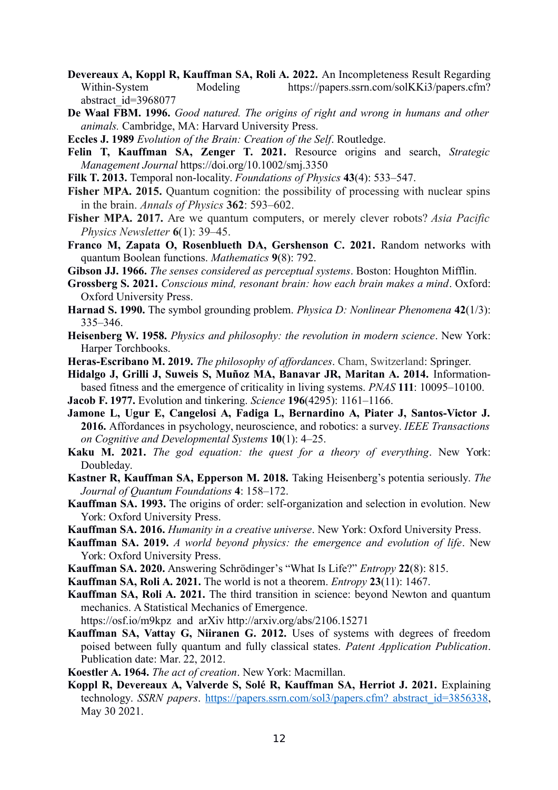- **Devereaux A, Koppl R, Kauffman SA, Roli A. 2022.** An Incompleteness Result Regarding Within-System Modeling https://papers.ssrn.com/solKKi3/papers.cfm? abstract\_id=3968077
- **De Waal FBM. 1996.** *Good natured. The origins of right and wrong in humans and other animals.* Cambridge, MA: Harvard University Press.
- **Eccles J. 1989** *Evolution of the Brain: Creation of the Self*. Routledge.
- **Felin T, Kauffman SA, Zenger T. 2021.** Resource origins and search, *Strategic Management Journal* https://doi.org/10.1002/smj.3350
- **Filk T. 2013.** Temporal non-locality. *Foundations of Physics* **43**(4): 533–547.
- **Fisher MPA. 2015.** Quantum cognition: the possibility of processing with nuclear spins in the brain. *Annals of Physics* **362**: 593–602.
- **Fisher MPA. 2017.** Are we quantum computers, or merely clever robots? *Asia Pacific Physics Newsletter* **6**(1): 39–45.
- **Franco M, Zapata O, Rosenblueth DA, Gershenson C. 2021.** Random networks with quantum Boolean functions. *Mathematics* **9**(8): 792.
- **Gibson JJ. 1966.** *The senses considered as perceptual systems*. Boston: Houghton Mifflin.
- **Grossberg S. 2021.** *Conscious mind, resonant brain: how each brain makes a mind*. Oxford: Oxford University Press.
- **Harnad S. 1990.** The symbol grounding problem. *Physica D: Nonlinear Phenomena* **42**(1/3): 335–346.
- **Heisenberg W. 1958.** *Physics and philosophy: the revolution in modern science*. New York: Harper Torchbooks.
- **Heras-Escribano M. 2019.** *The philosophy of affordances*. Cham, Switzerland: Springer.
- **Hidalgo J, Grilli J, Suweis S, Muñoz MA, Banavar JR, Maritan A. 2014.** Informationbased fitness and the emergence of criticality in living systems. *PNAS* **111**: 10095–10100.
- **Jacob F. 1977.** Evolution and tinkering. *Science* **196**(4295): 1161–1166.
- **Jamone L, Ugur E, Cangelosi A, Fadiga L, Bernardino A, Piater J, Santos-Victor J. 2016.** Affordances in psychology, neuroscience, and robotics: a survey. *IEEE Transactions on Cognitive and Developmental Systems* **10**(1): 4–25.
- **Kaku M. 2021.** *The god equation: the quest for a theory of everything*. New York: Doubleday.
- **Kastner R, Kauffman SA, Epperson M. 2018.** Taking Heisenberg's potentia seriously. *The Journal of Quantum Foundations* **4**: 158–172.
- **Kauffman SA. 1993.** The origins of order: self-organization and selection in evolution. New York: Oxford University Press.
- **Kauffman SA. 2016.** *Humanity in a creative universe*. New York: Oxford University Press.
- **Kauffman SA. 2019.** *A world beyond physics: the emergence and evolution of life*. New York: Oxford University Press.
- **Kauffman SA. 2020.** Answering Schrödinger's "What Is Life?" *Entropy* **22**(8): 815.
- **Kauffman SA, Roli A. 2021.** The world is not a theorem. *Entropy* **23**(11): 1467.
- **Kauffman SA, Roli A. 2021.** The third transition in science: beyond Newton and quantum mechanics. A Statistical Mechanics of Emergence.

https://osf.io/m9kpz and arXiv http://arxiv.org/abs/2106.15271

- **Kauffman SA, Vattay G, Niiranen G. 2012.** Uses of systems with degrees of freedom poised between fully quantum and fully classical states. *Patent Application Publication*. Publication date: Mar. 22, 2012.
- **Koestler A. 1964.** *The act of creation*. New York: Macmillan.
- **Koppl R, Devereaux A, Valverde S, Solé R, Kauffman SA, Herriot J. 2021.** Explaining technology. *SSRN papers*. [https://papers.ssrn.com/sol3/papers.cfm? abstract\\_id=3856338,](https://papers.ssrn.com/sol3/papers.cfm?%20abstract_id=3856338) May 30 2021.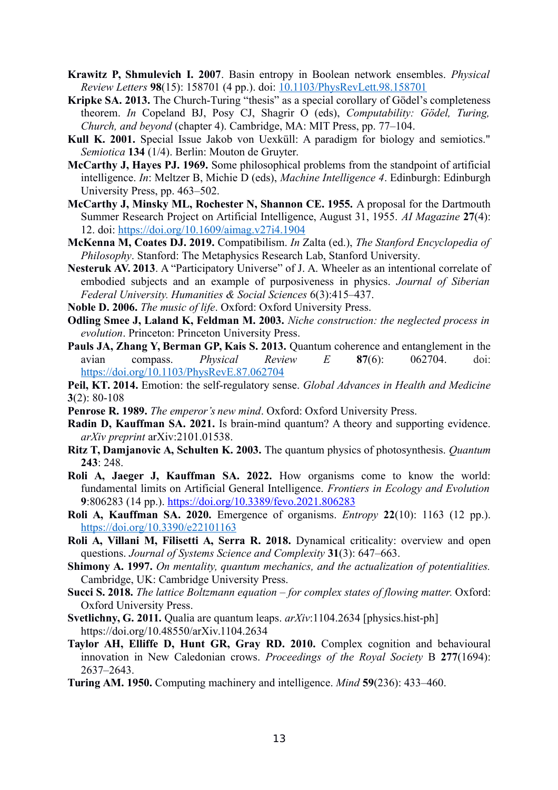- **Krawitz P, Shmulevich I. 2007**. Basin entropy in Boolean network ensembles. *Physical Review Letters* **98**(15): 158701 (4 pp.). doi: [10.1103/PhysRevLett.98.158701](about:blank)
- **Kripke SA. 2013.** The Church-Turing "thesis" as a special corollary of Gödel's completeness theorem. *In* Copeland BJ, Posy CJ, Shagrir O (eds), *Computability: Gödel, Turing, Church, and beyond* (chapter 4). Cambridge, MA: MIT Press, pp. 77–104.
- **Kull K. 2001.** Special Issue Jakob von Uexküll: A paradigm for biology and semiotics." *Semiotica* **134** (1/4). Berlin: Mouton de Gruyter.
- **McCarthy J, Hayes PJ. 1969.** Some philosophical problems from the standpoint of artificial intelligence. *In*: Meltzer B, Michie D (eds), *Machine Intelligence 4*. Edinburgh: Edinburgh University Press, pp. 463–502.
- **McCarthy J, Minsky ML, Rochester N, Shannon CE. 1955.** A proposal for the Dartmouth Summer Research Project on Artificial Intelligence, August 31, 1955. *AI Magazine* **27**(4): 12. doi: https://doi.org/10.1609/aimag.v27i4.1904
- **McKenna M, Coates DJ. 2019.** Compatibilism. *In* Zalta (ed.), *The Stanford Encyclopedia of Philosophy*. Stanford: The Metaphysics Research Lab, Stanford University.
- **Nesteruk AV. 2013**. A "Participatory Universe" of J. A. Wheeler as an intentional correlate of embodied subjects and an example of purposiveness in physics. *Journal of Siberian Federal University. Humanities & Social Sciences* 6(3):415–437.
- **Noble D. 2006.** *The music of life*. Oxford: Oxford University Press.
- **Odling Smee J, Laland K, Feldman M. 2003.** *Niche construction: the neglected process in evolution*. Princeton: Princeton University Press.
- **Pauls JA, Zhang Y, Berman GP, Kais S. 2013.** Quantum coherence and entanglement in the avian compass. *Physical Review E* **87**(6): 062704. doi: <https://doi.org/10.1103/PhysRevE.87.062704>

**Peil, KT. 2014.** Emotion: the self-regulatory sense. *Global Advances in Health and Medicine* **3**(2): 80-108

- **Penrose R. 1989.** *The emperor's new mind*. Oxford: Oxford University Press.
- **Radin D, Kauffman SA. 2021.** Is brain-mind quantum? A theory and supporting evidence. *arXiv preprint* arXiv:2101.01538.
- **Ritz T, Damjanovic A, Schulten K. 2003.** The quantum physics of photosynthesis. *Quantum* **243**: 248.
- **Roli A, Jaeger J, Kauffman SA. 2022.** How organisms come to know the world: fundamental limits on Artificial General Intelligence. *Frontiers in Ecology and Evolution* **9**:806283 (14 pp.).<https://doi.org/10.3389/fevo.2021.806283>
- **Roli A, Kauffman SA. 2020.** Emergence of organisms. *Entropy* **22**(10): 1163 (12 pp.). https://doi.org/10.3390/e22101163
- **Roli A, Villani M, Filisetti A, Serra R. 2018.** Dynamical criticality: overview and open questions. *Journal of Systems Science and Complexity* **31**(3): 647–663.
- **Shimony A. 1997.** *On mentality, quantum mechanics, and the actualization of potentialities.* Cambridge, UK: Cambridge University Press.
- **Succi S. 2018.** *The lattice Boltzmann equation for complex states of flowing matter.* Oxford: Oxford University Press.
- **Svetlichny, G. 2011.** Qualia are quantum leaps. *arXiv*:1104.2634 [physics.hist-ph] https://doi.org/10.48550/arXiv.1104.2634
- **Taylor AH, Elliffe D, Hunt GR, Gray RD. 2010.** Complex cognition and behavioural innovation in New Caledonian crows. *Proceedings of the Royal Society* B **277**(1694): 2637–2643.
- **Turing AM. 1950.** Computing machinery and intelligence. *Mind* **59**(236): 433–460.